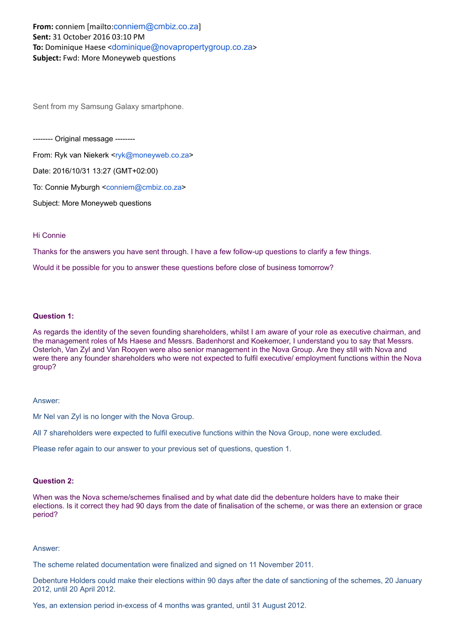# **From:** conniem [mailto:[conniem@cmbiz.co.za](mailto:conniem@cmbiz.co.za)] **Sent:** 31 October 2016 03:10 PM **To:** Dominique Haese <[dominique@novapropertygroup.co.za](mailto:dominique@novapropertygroup.co.za)> **Subject:** Fwd: More Moneyweb questions

Sent from my Samsung Galaxy smartphone.

------- Original message --------

From: Ryk van Niekerk <rtyk@moneyweb.co.za>

Date: 2016/10/31 13:27 (GMT+02:00)

To: Connie Myburgh <[conniem@cmbiz.co.za](mailto:conniem@cmbiz.co.za)>

Subject: More Moneyweb questions

## Hi Connie

Thanks for the answers you have sent through. I have a few follow-up questions to clarify a few things.

Would it be possible for you to answer these questions before close of business tomorrow?

### **Question 1:**

As regards the identity of the seven founding shareholders, whilst I am aware of your role as executive chairman, and the management roles of Ms Haese and Messrs. Badenhorst and Koekemoer, I understand you to say that Messrs. Osterloh, Van Zyl and Van Rooyen were also senior management in the Nova Group. Are they still with Nova and were there any founder shareholders who were not expected to fulfil executive/ employment functions within the Nova group?

#### Answer:

Mr Nel van Zyl is no longer with the Nova Group.

All 7 shareholders were expected to fulfil executive functions within the Nova Group, none were excluded.

Please refer again to our answer to your previous set of questions, question 1.

### **Question 2:**

When was the Nova scheme/schemes finalised and by what date did the debenture holders have to make their elections. Is it correct they had 90 days from the date of finalisation of the scheme, or was there an extension or grace period?

### Answer:

The scheme related documentation were finalized and signed on 11 November 2011.

Debenture Holders could make their elections within 90 days after the date of sanctioning of the schemes, 20 January 2012, until 20 April 2012.

Yes, an extension period inexcess of 4 months was granted, until 31 August 2012.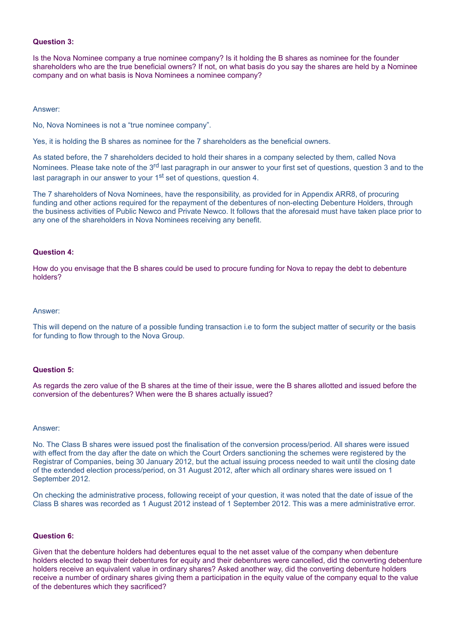### **Question 3:**

Is the Nova Nominee company a true nominee company? Is it holding the B shares as nominee for the founder shareholders who are the true beneficial owners? If not, on what basis do you say the shares are held by a Nominee company and on what basis is Nova Nominees a nominee company?

#### Answer:

No, Nova Nominees is not a "true nominee company".

Yes, it is holding the B shares as nominee for the 7 shareholders as the beneficial owners.

As stated before, the 7 shareholders decided to hold their shares in a company selected by them, called Nova Nominees. Please take note of the 3<sup>rd</sup> last paragraph in our answer to your first set of questions, question 3 and to the last paragraph in our answer to your 1<sup>st</sup> set of questions, question 4.

The 7 shareholders of Nova Nominees, have the responsibility, as provided for in Appendix ARR8, of procuring funding and other actions required for the repayment of the debentures of non-electing Debenture Holders, through the business activities of Public Newco and Private Newco. It follows that the aforesaid must have taken place prior to any one of the shareholders in Nova Nominees receiving any benefit.

### **Question 4:**

How do you envisage that the B shares could be used to procure funding for Nova to repay the debt to debenture holders?

#### Answer:

This will depend on the nature of a possible funding transaction i.e to form the subject matter of security or the basis for funding to flow through to the Nova Group.

### **Question 5:**

As regards the zero value of the B shares at the time of their issue, were the B shares allotted and issued before the conversion of the debentures? When were the B shares actually issued?

#### Answer:

No. The Class B shares were issued post the finalisation of the conversion process/period. All shares were issued with effect from the day after the date on which the Court Orders sanctioning the schemes were registered by the Registrar of Companies, being 30 January 2012, but the actual issuing process needed to wait until the closing date of the extended election process/period, on 31 August 2012, after which all ordinary shares were issued on 1 September 2012.

On checking the administrative process, following receipt of your question, it was noted that the date of issue of the Class B shares was recorded as 1 August 2012 instead of 1 September 2012. This was a mere administrative error.

### **Question 6:**

Given that the debenture holders had debentures equal to the net asset value of the company when debenture holders elected to swap their debentures for equity and their debentures were cancelled, did the converting debenture holders receive an equivalent value in ordinary shares? Asked another way, did the converting debenture holders receive a number of ordinary shares giving them a participation in the equity value of the company equal to the value of the debentures which they sacrificed?